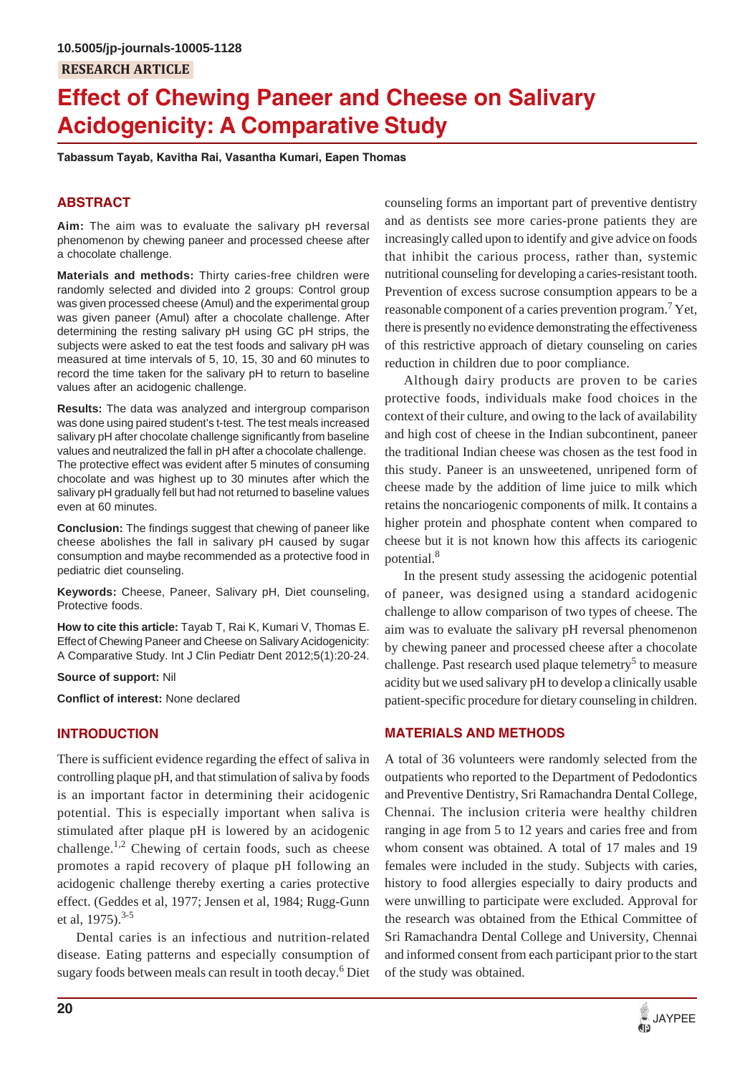# **Effect of Chewing Paneer and Cheese on Salivary Acidogenicity: A Comparative Study**

**Tabassum Tayab, Kavitha Rai, Vasantha Kumari, Eapen Thomas**

# **ABSTRACT**

**Aim:** The aim was to evaluate the salivary pH reversal phenomenon by chewing paneer and processed cheese after a chocolate challenge.

**Materials and methods:** Thirty caries-free children were randomly selected and divided into 2 groups: Control group was given processed cheese (Amul) and the experimental group was given paneer (Amul) after a chocolate challenge. After determining the resting salivary pH using GC pH strips, the subjects were asked to eat the test foods and salivary pH was measured at time intervals of 5, 10, 15, 30 and 60 minutes to record the time taken for the salivary pH to return to baseline values after an acidogenic challenge.

**Results:** The data was analyzed and intergroup comparison was done using paired student's t-test. The test meals increased salivary pH after chocolate challenge significantly from baseline values and neutralized the fall in pH after a chocolate challenge. The protective effect was evident after 5 minutes of consuming chocolate and was highest up to 30 minutes after which the salivary pH gradually fell but had not returned to baseline values even at 60 minutes.

**Conclusion:** The findings suggest that chewing of paneer like cheese abolishes the fall in salivary pH caused by sugar consumption and maybe recommended as a protective food in pediatric diet counseling.

**Keywords:** Cheese, Paneer, Salivary pH, Diet counseling, Protective foods.

**How to cite this article:** Tayab T, Rai K, Kumari V, Thomas E. Effect of Chewing Paneer and Cheese on Salivary Acidogenicity: A Comparative Study. Int J Clin Pediatr Dent 2012;5(1):20-24.

#### **Source of support:** Nil

**Conflict of interest:** None declared

## **INTRODUCTION**

There is sufficient evidence regarding the effect of saliva in controlling plaque pH, and that stimulation of saliva by foods is an important factor in determining their acidogenic potential. This is especially important when saliva is stimulated after plaque pH is lowered by an acidogenic challenge.<sup>1,2</sup> Chewing of certain foods, such as cheese promotes a rapid recovery of plaque pH following an acidogenic challenge thereby exerting a caries protective effect. (Geddes et al, 1977; Jensen et al, 1984; Rugg-Gunn et al,  $1975$ ).<sup>3-5</sup>

Dental caries is an infectious and nutrition-related disease. Eating patterns and especially consumption of sugary foods between meals can result in tooth decay.<sup>6</sup> Diet

counseling forms an important part of preventive dentistry and as dentists see more caries-prone patients they are increasingly called upon to identify and give advice on foods that inhibit the carious process, rather than, systemic nutritional counseling for developing a caries-resistant tooth. Prevention of excess sucrose consumption appears to be a reasonable component of a caries prevention program.<sup>7</sup> Yet, there is presently no evidence demonstrating the effectiveness of this restrictive approach of dietary counseling on caries reduction in children due to poor compliance.

Although dairy products are proven to be caries protective foods, individuals make food choices in the context of their culture, and owing to the lack of availability and high cost of cheese in the Indian subcontinent, paneer the traditional Indian cheese was chosen as the test food in this study. Paneer is an unsweetened, unripened form of cheese made by the addition of lime juice to milk which retains the noncariogenic components of milk. It contains a higher protein and phosphate content when compared to cheese but it is not known how this affects its cariogenic potential.<sup>8</sup>

In the present study assessing the acidogenic potential of paneer, was designed using a standard acidogenic challenge to allow comparison of two types of cheese. The aim was to evaluate the salivary pH reversal phenomenon by chewing paneer and processed cheese after a chocolate challenge. Past research used plaque telemetry<sup>5</sup> to measure acidity but we used salivary pH to develop a clinically usable patient-specific procedure for dietary counseling in children.

## **MATERIALS AND METHODS**

A total of 36 volunteers were randomly selected from the outpatients who reported to the Department of Pedodontics and Preventive Dentistry, Sri Ramachandra Dental College, Chennai. The inclusion criteria were healthy children ranging in age from 5 to 12 years and caries free and from whom consent was obtained. A total of 17 males and 19 females were included in the study. Subjects with caries, history to food allergies especially to dairy products and were unwilling to participate were excluded. Approval for the research was obtained from the Ethical Committee of Sri Ramachandra Dental College and University, Chennai and informed consent from each participant prior to the start of the study was obtained.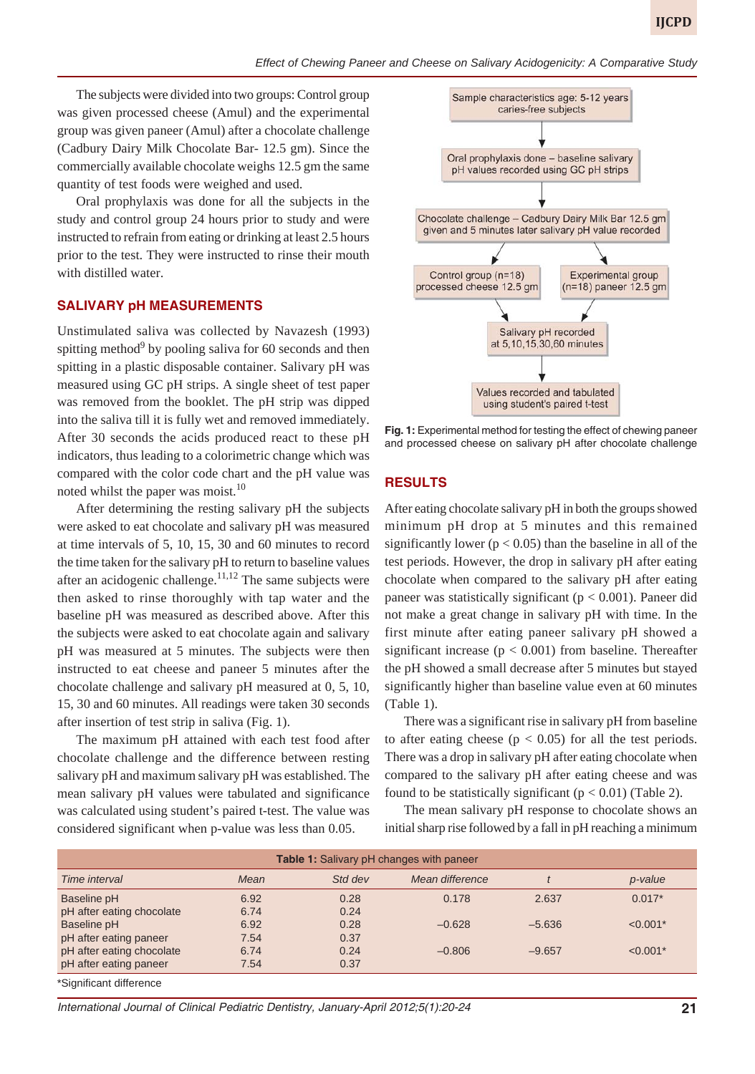The subjects were divided into two groups: Control group was given processed cheese (Amul) and the experimental group was given paneer (Amul) after a chocolate challenge (Cadbury Dairy Milk Chocolate Bar- 12.5 gm). Since the commercially available chocolate weighs 12.5 gm the same quantity of test foods were weighed and used.

Oral prophylaxis was done for all the subjects in the study and control group 24 hours prior to study and were instructed to refrain from eating or drinking at least 2.5 hours prior to the test. They were instructed to rinse their mouth with distilled water.

## **SALIVARY pH MEASUREMENTS**

Unstimulated saliva was collected by Navazesh (1993) spitting method<sup>9</sup> by pooling saliva for 60 seconds and then spitting in a plastic disposable container. Salivary pH was measured using GC pH strips. A single sheet of test paper was removed from the booklet. The pH strip was dipped into the saliva till it is fully wet and removed immediately. After 30 seconds the acids produced react to these pH indicators, thus leading to a colorimetric change which was compared with the color code chart and the pH value was noted whilst the paper was moist.<sup>10</sup>

After determining the resting salivary pH the subjects were asked to eat chocolate and salivary pH was measured at time intervals of 5, 10, 15, 30 and 60 minutes to record the time taken for the salivary pH to return to baseline values after an acidogenic challenge. $11,12$  The same subjects were then asked to rinse thoroughly with tap water and the baseline pH was measured as described above. After this the subjects were asked to eat chocolate again and salivary pH was measured at 5 minutes. The subjects were then instructed to eat cheese and paneer 5 minutes after the chocolate challenge and salivary pH measured at 0, 5, 10, 15, 30 and 60 minutes. All readings were taken 30 seconds after insertion of test strip in saliva (Fig. 1).

The maximum pH attained with each test food after chocolate challenge and the difference between resting salivary pH and maximum salivary pH was established. The mean salivary pH values were tabulated and significance was calculated using student's paired t-test. The value was considered significant when p-value was less than 0.05.



**Fig. 1:** Experimental method for testing the effect of chewing paneer and processed cheese on salivary pH after chocolate challenge

#### **RESULTS**

After eating chocolate salivary pH in both the groups showed minimum pH drop at 5 minutes and this remained significantly lower ( $p < 0.05$ ) than the baseline in all of the test periods. However, the drop in salivary pH after eating chocolate when compared to the salivary pH after eating paneer was statistically significant ( $p < 0.001$ ). Paneer did not make a great change in salivary pH with time. In the first minute after eating paneer salivary pH showed a significant increase ( $p < 0.001$ ) from baseline. Thereafter the pH showed a small decrease after 5 minutes but stayed significantly higher than baseline value even at 60 minutes (Table 1).

There was a significant rise in salivary pH from baseline to after eating cheese  $(p < 0.05)$  for all the test periods. There was a drop in salivary pH after eating chocolate when compared to the salivary pH after eating cheese and was found to be statistically significant ( $p < 0.01$ ) (Table 2).

The mean salivary pH response to chocolate shows an initial sharp rise followed by a fall in pH reaching a minimum

| <b>Table 1:</b> Salivary pH changes with paneer |      |         |                 |          |            |  |  |
|-------------------------------------------------|------|---------|-----------------|----------|------------|--|--|
| Time interval                                   | Mean | Std dev | Mean difference |          | p-value    |  |  |
| Baseline pH                                     | 6.92 | 0.28    | 0.178           | 2.637    | $0.017*$   |  |  |
| pH after eating chocolate                       | 6.74 | 0.24    |                 |          |            |  |  |
| Baseline pH                                     | 6.92 | 0.28    | $-0.628$        | $-5.636$ | $< 0.001*$ |  |  |
| pH after eating paneer                          | 7.54 | 0.37    |                 |          |            |  |  |
| pH after eating chocolate                       | 6.74 | 0.24    | $-0.806$        | $-9.657$ | $< 0.001*$ |  |  |
| pH after eating paneer                          | 7.54 | 0.37    |                 |          |            |  |  |
| *Sianificant difference*                        |      |         |                 |          |            |  |  |

»ignificant difference

*International Journal of Clinical Pediatric Dentistry, January-April 2012;5(1):20-24* **21**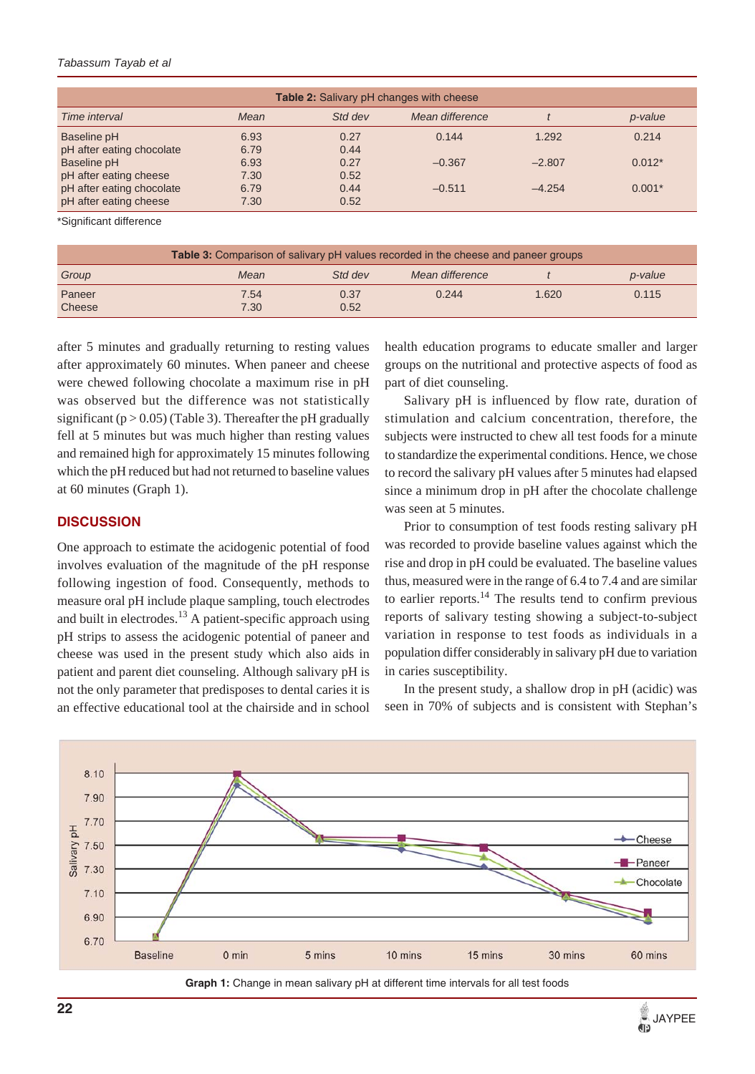#### *Tabassum Tayab et al*

| <b>Table 2:</b> Salivary pH changes with cheese     |              |              |                 |          |          |  |  |
|-----------------------------------------------------|--------------|--------------|-----------------|----------|----------|--|--|
| Time interval                                       | Mean         | Std dev      | Mean difference |          | p-value  |  |  |
| Baseline pH<br>pH after eating chocolate            | 6.93<br>6.79 | 0.27<br>0.44 | 0.144           | 1.292    | 0.214    |  |  |
| Baseline pH                                         | 6.93         | 0.27         | $-0.367$        | $-2.807$ | $0.012*$ |  |  |
| pH after eating cheese<br>pH after eating chocolate | 7.30<br>6.79 | 0.52<br>0.44 | $-0.511$        | $-4.254$ | $0.001*$ |  |  |
| pH after eating cheese                              | 7.30         | 0.52         |                 |          |          |  |  |

\*Significant difference

| <b>Table 3:</b> Comparison of salivary pH values recorded in the cheese and paneer groups |              |              |                 |       |         |  |  |
|-------------------------------------------------------------------------------------------|--------------|--------------|-----------------|-------|---------|--|--|
| Group                                                                                     | Mean         | Std dev      | Mean difference |       | p-value |  |  |
| Paneer<br>Cheese                                                                          | 7.54<br>7.30 | 0.37<br>0.52 | 0.244           | 1.620 | 0.115   |  |  |

after 5 minutes and gradually returning to resting values after approximately 60 minutes. When paneer and cheese were chewed following chocolate a maximum rise in pH was observed but the difference was not statistically significant  $(p > 0.05)$  (Table 3). Thereafter the pH gradually fell at 5 minutes but was much higher than resting values and remained high for approximately 15 minutes following which the pH reduced but had not returned to baseline values at 60 minutes (Graph 1).

#### **DISCUSSION**

One approach to estimate the acidogenic potential of food involves evaluation of the magnitude of the pH response following ingestion of food. Consequently, methods to measure oral pH include plaque sampling, touch electrodes and built in electrodes. $^{13}$  A patient-specific approach using pH strips to assess the acidogenic potential of paneer and cheese was used in the present study which also aids in patient and parent diet counseling. Although salivary pH is not the only parameter that predisposes to dental caries it is an effective educational tool at the chairside and in school health education programs to educate smaller and larger groups on the nutritional and protective aspects of food as part of diet counseling.

Salivary pH is influenced by flow rate, duration of stimulation and calcium concentration, therefore, the subjects were instructed to chew all test foods for a minute to standardize the experimental conditions. Hence, we chose to record the salivary pH values after 5 minutes had elapsed since a minimum drop in pH after the chocolate challenge was seen at 5 minutes.

Prior to consumption of test foods resting salivary pH was recorded to provide baseline values against which the rise and drop in pH could be evaluated. The baseline values thus, measured were in the range of 6.4 to 7.4 and are similar to earlier reports. $^{14}$  The results tend to confirm previous reports of salivary testing showing a subject-to-subject variation in response to test foods as individuals in a population differ considerably in salivary pH due to variation in caries susceptibility.

In the present study, a shallow drop in pH (acidic) was seen in 70% of subjects and is consistent with Stephan's



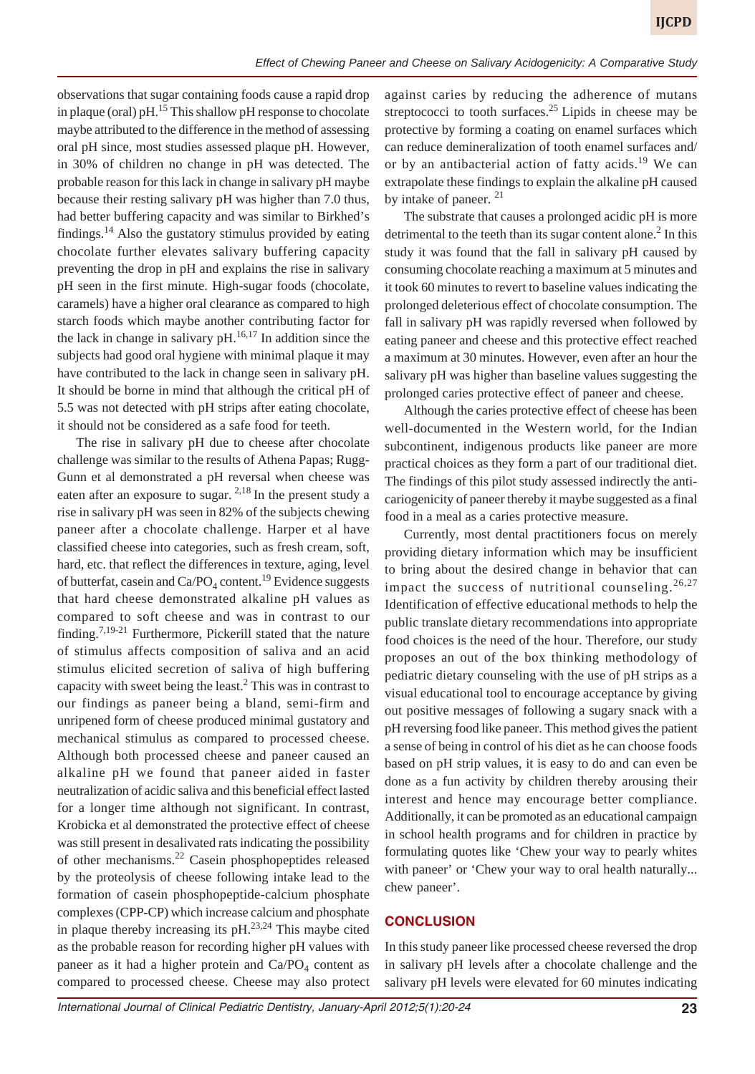observations that sugar containing foods cause a rapid drop in plaque (oral) pH. $^{15}$  This shallow pH response to chocolate maybe attributed to the difference in the method of assessing oral pH since, most studies assessed plaque pH. However, in 30% of children no change in pH was detected. The probable reason for this lack in change in salivary pH maybe because their resting salivary pH was higher than 7.0 thus, had better buffering capacity and was similar to Birkhed's findings.<sup>14</sup> Also the gustatory stimulus provided by eating chocolate further elevates salivary buffering capacity preventing the drop in pH and explains the rise in salivary pH seen in the first minute. High-sugar foods (chocolate, caramels) have a higher oral clearance as compared to high starch foods which maybe another contributing factor for the lack in change in salivary  $pH<sub>1</sub><sup>16,17</sup>$  In addition since the subjects had good oral hygiene with minimal plaque it may have contributed to the lack in change seen in salivary pH. It should be borne in mind that although the critical pH of 5.5 was not detected with pH strips after eating chocolate, it should not be considered as a safe food for teeth.

The rise in salivary pH due to cheese after chocolate challenge was similar to the results of Athena Papas; Rugg-Gunn et al demonstrated a pH reversal when cheese was eaten after an exposure to sugar. <sup>2,18</sup> In the present study a rise in salivary pH was seen in 82% of the subjects chewing paneer after a chocolate challenge. Harper et al have classified cheese into categories, such as fresh cream, soft, hard, etc. that reflect the differences in texture, aging, level of butterfat, casein and  $Ca/PO<sub>4</sub>$  content.<sup>19</sup> Evidence suggests that hard cheese demonstrated alkaline pH values as compared to soft cheese and was in contrast to our finding.7,19-21 Furthermore, Pickerill stated that the nature of stimulus affects composition of saliva and an acid stimulus elicited secretion of saliva of high buffering capacity with sweet being the least. $<sup>2</sup>$  This was in contrast to</sup> our findings as paneer being a bland, semi-firm and unripened form of cheese produced minimal gustatory and mechanical stimulus as compared to processed cheese. Although both processed cheese and paneer caused an alkaline pH we found that paneer aided in faster neutralization of acidic saliva and this beneficial effect lasted for a longer time although not significant. In contrast, Krobicka et al demonstrated the protective effect of cheese was still present in desalivated rats indicating the possibility of other mechanisms.22 Casein phosphopeptides released by the proteolysis of cheese following intake lead to the formation of casein phosphopeptide-calcium phosphate complexes (CPP-CP) which increase calcium and phosphate in plaque thereby increasing its  $pH<sup>23,24</sup>$  This maybe cited as the probable reason for recording higher pH values with paneer as it had a higher protein and  $Ca/PO<sub>4</sub>$  content as compared to processed cheese. Cheese may also protect against caries by reducing the adherence of mutans streptococci to tooth surfaces.<sup>25</sup> Lipids in cheese may be protective by forming a coating on enamel surfaces which can reduce demineralization of tooth enamel surfaces and/ or by an antibacterial action of fatty acids.<sup>19</sup> We can extrapolate these findings to explain the alkaline pH caused by intake of paneer.<sup>21</sup>

The substrate that causes a prolonged acidic pH is more detrimental to the teeth than its sugar content alone. $<sup>2</sup>$  In this</sup> study it was found that the fall in salivary pH caused by consuming chocolate reaching a maximum at 5 minutes and it took 60 minutes to revert to baseline values indicating the prolonged deleterious effect of chocolate consumption. The fall in salivary pH was rapidly reversed when followed by eating paneer and cheese and this protective effect reached a maximum at 30 minutes. However, even after an hour the salivary pH was higher than baseline values suggesting the prolonged caries protective effect of paneer and cheese.

Although the caries protective effect of cheese has been well-documented in the Western world, for the Indian subcontinent, indigenous products like paneer are more practical choices as they form a part of our traditional diet. The findings of this pilot study assessed indirectly the anticariogenicity of paneer thereby it maybe suggested as a final food in a meal as a caries protective measure.

Currently, most dental practitioners focus on merely providing dietary information which may be insufficient to bring about the desired change in behavior that can impact the success of nutritional counseling.  $26,27$ Identification of effective educational methods to help the public translate dietary recommendations into appropriate food choices is the need of the hour. Therefore, our study proposes an out of the box thinking methodology of pediatric dietary counseling with the use of pH strips as a visual educational tool to encourage acceptance by giving out positive messages of following a sugary snack with a pH reversing food like paneer. This method gives the patient a sense of being in control of his diet as he can choose foods based on pH strip values, it is easy to do and can even be done as a fun activity by children thereby arousing their interest and hence may encourage better compliance. Additionally, it can be promoted as an educational campaign in school health programs and for children in practice by formulating quotes like 'Chew your way to pearly whites with paneer' or 'Chew your way to oral health naturally... chew paneer'.

## **CONCLUSION**

In this study paneer like processed cheese reversed the drop in salivary pH levels after a chocolate challenge and the salivary pH levels were elevated for 60 minutes indicating